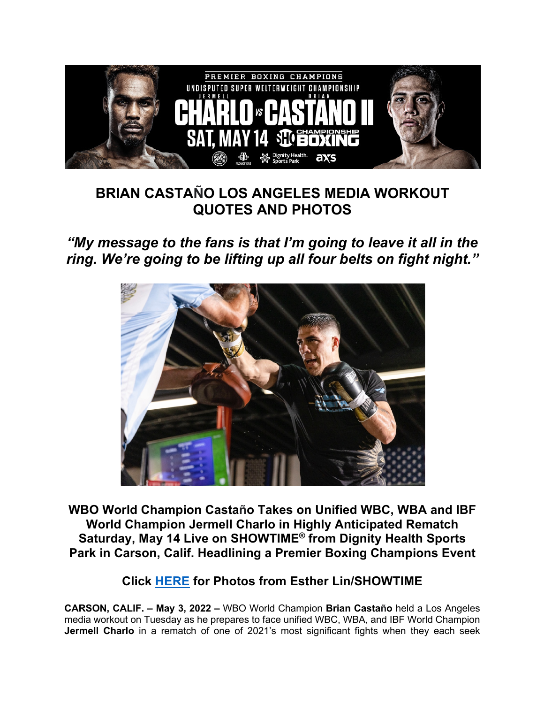

# **BRIAN CASTAÑO LOS ANGELES MEDIA WORKOUT QUOTES AND PHOTOS**

## *"My message to the fans is that I'm going to leave it all in the ring. We're going to be lifting up all four belts on fight night."*



**WBO World Champion Castaño Takes on Unified WBC, WBA and IBF World Champion Jermell Charlo in Highly Anticipated Rematch Saturday, May 14 Live on SHOWTIME® from Dignity Health Sports Park in Carson, Calif. Headlining a Premier Boxing Champions Event**

### **Click HERE for Photos from Esther Lin/SHOWTIME**

**CARSON, CALIF. – May 3, 2022 –** WBO World Champion **Brian Castaño** held a Los Angeles media workout on Tuesday as he prepares to face unified WBC, WBA, and IBF World Champion **Jermell Charlo** in a rematch of one of 2021's most significant fights when they each seek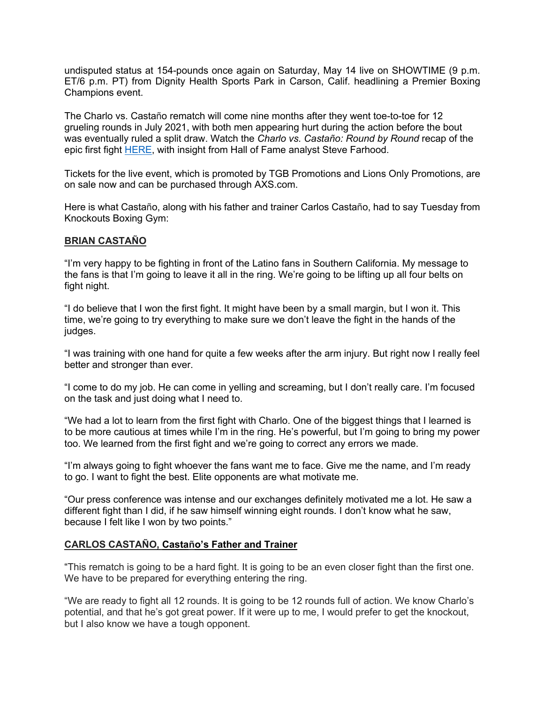undisputed status at 154-pounds once again on Saturday, May 14 live on SHOWTIME (9 p.m. ET/6 p.m. PT) from Dignity Health Sports Park in Carson, Calif. headlining a Premier Boxing Champions event.

The Charlo vs. Castaño rematch will come nine months after they went toe-to-toe for 12 grueling rounds in July 2021, with both men appearing hurt during the action before the bout was eventually ruled a split draw. Watch the *Charlo vs. Castaño: Round by Round* recap of the epic first fight HERE, with insight from Hall of Fame analyst Steve Farhood.

Tickets for the live event, which is promoted by TGB Promotions and Lions Only Promotions, are on sale now and can be purchased through AXS.com.

Here is what Castaño, along with his father and trainer Carlos Castaño, had to say Tuesday from Knockouts Boxing Gym:

#### **BRIAN CASTAÑO**

"I'm very happy to be fighting in front of the Latino fans in Southern California. My message to the fans is that I'm going to leave it all in the ring. We're going to be lifting up all four belts on fight night.

"I do believe that I won the first fight. It might have been by a small margin, but I won it. This time, we're going to try everything to make sure we don't leave the fight in the hands of the judges.

"I was training with one hand for quite a few weeks after the arm injury. But right now I really feel better and stronger than ever.

"I come to do my job. He can come in yelling and screaming, but I don't really care. I'm focused on the task and just doing what I need to.

"We had a lot to learn from the first fight with Charlo. One of the biggest things that I learned is to be more cautious at times while I'm in the ring. He's powerful, but I'm going to bring my power too. We learned from the first fight and we're going to correct any errors we made.

"I'm always going to fight whoever the fans want me to face. Give me the name, and I'm ready to go. I want to fight the best. Elite opponents are what motivate me.

"Our press conference was intense and our exchanges definitely motivated me a lot. He saw a different fight than I did, if he saw himself winning eight rounds. I don't know what he saw, because I felt like I won by two points."

#### **CARLOS CASTAÑO, Castaño's Father and Trainer**

"This rematch is going to be a hard fight. It is going to be an even closer fight than the first one. We have to be prepared for everything entering the ring.

"We are ready to fight all 12 rounds. It is going to be 12 rounds full of action. We know Charlo's potential, and that he's got great power. If it were up to me, I would prefer to get the knockout, but I also know we have a tough opponent.